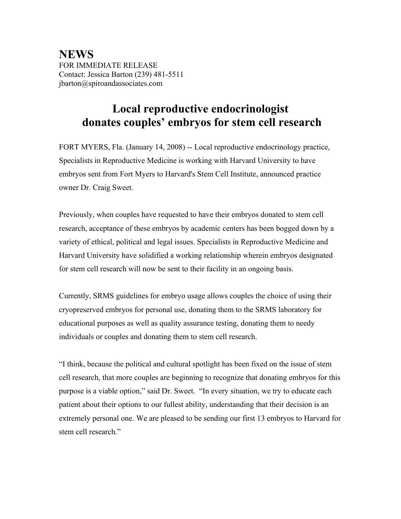**NEWS** FOR IMMEDIATE RELEASE Contact: Jessica Barton (239) 481-5511 jbarton@spiroandassociates.com

## **Local reproductive endocrinologist donates couples' embryos for stem cell research**

FORT MYERS, Fla. (January 14, 2008) -- Local reproductive endocrinology practice, Specialists in Reproductive Medicine is working with Harvard University to have embryos sent from Fort Myers to Harvard's Stem Cell Institute, announced practice owner Dr. Craig Sweet.

Previously, when couples have requested to have their embryos donated to stem cell research, acceptance of these embryos by academic centers has been bogged down by a variety of ethical, political and legal issues. Specialists in Reproductive Medicine and Harvard University have solidified a working relationship wherein embryos designated for stem cell research will now be sent to their facility in an ongoing basis.

Currently, SRMS guidelines for embryo usage allows couples the choice of using their cryopreserved embryos for personal use, donating them to the SRMS laboratory for educational purposes as well as quality assurance testing, donating them to needy individuals or couples and donating them to stem cell research.

"I think, because the political and cultural spotlight has been fixed on the issue of stem cell research, that more couples are beginning to recognize that donating embryos for this purpose is a viable option," said Dr. Sweet. "In every situation, we try to educate each patient about their options to our fullest ability, understanding that their decision is an extremely personal one. We are pleased to be sending our first 13 embryos to Harvard for stem cell research."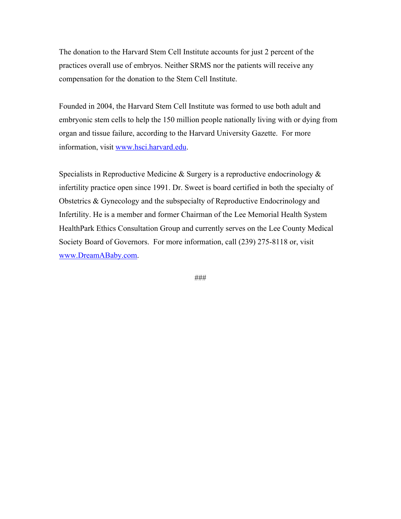The donation to the Harvard Stem Cell Institute accounts for just 2 percent of the practices overall use of embryos. Neither SRMS nor the patients will receive any compensation for the donation to the Stem Cell Institute.

Founded in 2004, the Harvard Stem Cell Institute was formed to use both adult and embryonic stem cells to help the 150 million people nationally living with or dying from organ and tissue failure, according to the Harvard University Gazette. For more information, visit www.hsci.harvard.edu.

Specialists in Reproductive Medicine  $\&$  Surgery is a reproductive endocrinology  $\&$ infertility practice open since 1991. Dr. Sweet is board certified in both the specialty of Obstetrics & Gynecology and the subspecialty of Reproductive Endocrinology and Infertility. He is a member and former Chairman of the Lee Memorial Health System HealthPark Ethics Consultation Group and currently serves on the Lee County Medical Society Board of Governors. For more information, call (239) 275-8118 or, visit www.DreamABaby.com.

###